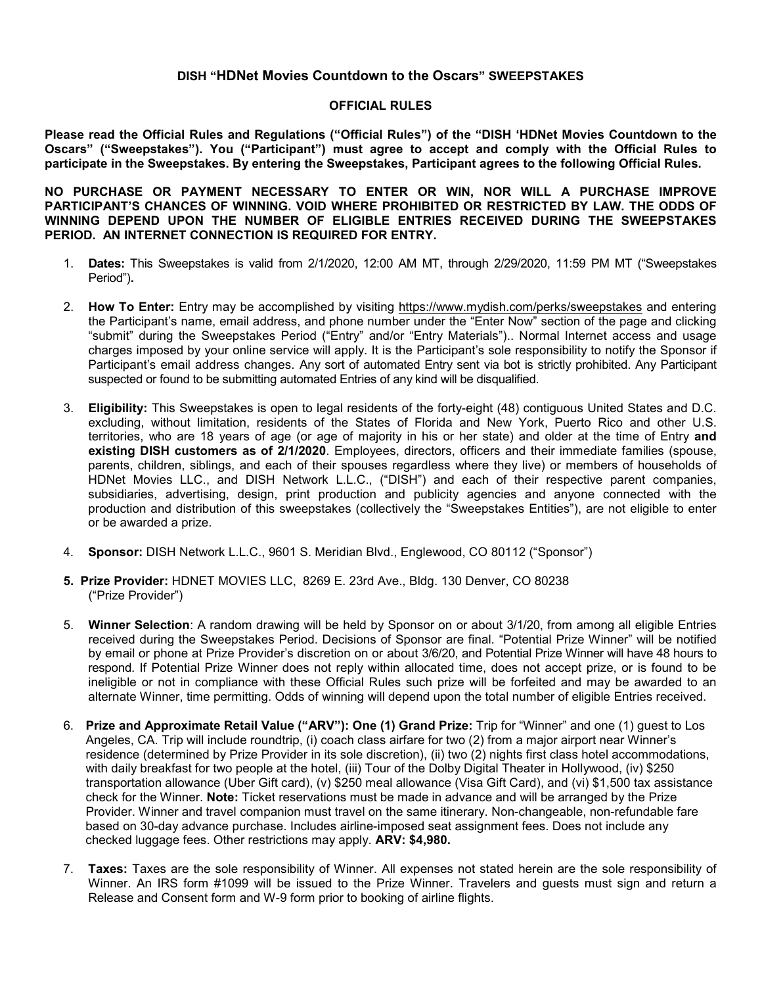## **DISH "HDNet Movies Countdown to the Oscars" SWEEPSTAKES**

## **OFFICIAL RULES**

**Please read the Official Rules and Regulations ("Official Rules") of the "DISH 'HDNet Movies Countdown to the Oscars" ("Sweepstakes"). You ("Participant") must agree to accept and comply with the Official Rules to participate in the Sweepstakes. By entering the Sweepstakes, Participant agrees to the following Official Rules.**

**NO PURCHASE OR PAYMENT NECESSARY TO ENTER OR WIN, NOR WILL A PURCHASE IMPROVE PARTICIPANT'S CHANCES OF WINNING. VOID WHERE PROHIBITED OR RESTRICTED BY LAW. THE ODDS OF WINNING DEPEND UPON THE NUMBER OF ELIGIBLE ENTRIES RECEIVED DURING THE SWEEPSTAKES PERIOD. AN INTERNET CONNECTION IS REQUIRED FOR ENTRY.**

- 1. **Dates:** This Sweepstakes is valid from 2/1/2020, 12:00 AM MT, through 2/29/2020, 11:59 PM MT ("Sweepstakes Period")**.**
- 2. **How To Enter:** Entry may be accomplished by visiting<https://www.mydish.com/perks/sweepstakes> and entering the Participant's name, email address, and phone number under the "Enter Now" section of the page and clicking "submit" during the Sweepstakes Period ("Entry" and/or "Entry Materials").. Normal Internet access and usage charges imposed by your online service will apply. It is the Participant's sole responsibility to notify the Sponsor if Participant's email address changes. Any sort of automated Entry sent via bot is strictly prohibited. Any Participant suspected or found to be submitting automated Entries of any kind will be disqualified.
- 3. **Eligibility:** This Sweepstakes is open to legal residents of the forty-eight (48) contiguous United States and D.C. excluding, without limitation, residents of the States of Florida and New York, Puerto Rico and other U.S. territories, who are 18 years of age (or age of majority in his or her state) and older at the time of Entry **and existing DISH customers as of 2/1/2020**. Employees, directors, officers and their immediate families (spouse, parents, children, siblings, and each of their spouses regardless where they live) or members of households of HDNet Movies LLC., and DISH Network L.L.C., ("DISH") and each of their respective parent companies, subsidiaries, advertising, design, print production and publicity agencies and anyone connected with the production and distribution of this sweepstakes (collectively the "Sweepstakes Entities"), are not eligible to enter or be awarded a prize.
- 4. **Sponsor:** DISH Network L.L.C., 9601 S. Meridian Blvd., Englewood, CO 80112 ("Sponsor")
- **5. Prize Provider:** HDNET MOVIES LLC, 8269 E. 23rd Ave., Bldg. 130 Denver, CO 80238 ("Prize Provider")
- 5. **Winner Selection**: A random drawing will be held by Sponsor on or about 3/1/20, from among all eligible Entries received during the Sweepstakes Period. Decisions of Sponsor are final. "Potential Prize Winner" will be notified by email or phone at Prize Provider's discretion on or about 3/6/20, and Potential Prize Winner will have 48 hours to respond. If Potential Prize Winner does not reply within allocated time, does not accept prize, or is found to be ineligible or not in compliance with these Official Rules such prize will be forfeited and may be awarded to an alternate Winner, time permitting. Odds of winning will depend upon the total number of eligible Entries received.
- 6. **Prize and Approximate Retail Value ("ARV"): One (1) Grand Prize:** Trip for "Winner" and one (1) guest to Los Angeles, CA. Trip will include roundtrip, (i) coach class airfare for two (2) from a major airport near Winner's residence (determined by Prize Provider in its sole discretion), (ii) two (2) nights first class hotel accommodations, with daily breakfast for two people at the hotel, (iii) Tour of the Dolby Digital Theater in Hollywood, (iv) \$250 transportation allowance (Uber Gift card), (v) \$250 meal allowance (Visa Gift Card), and (vi) \$1,500 tax assistance check for the Winner. **Note:** Ticket reservations must be made in advance and will be arranged by the Prize Provider. Winner and travel companion must travel on the same itinerary. Non-changeable, non-refundable fare based on 30-day advance purchase. Includes airline-imposed seat assignment fees. Does not include any checked luggage fees. Other restrictions may apply. **ARV: \$4,980.**
- 7. **Taxes:** Taxes are the sole responsibility of Winner. All expenses not stated herein are the sole responsibility of Winner. An IRS form #1099 will be issued to the Prize Winner. Travelers and guests must sign and return a Release and Consent form and W-9 form prior to booking of airline flights.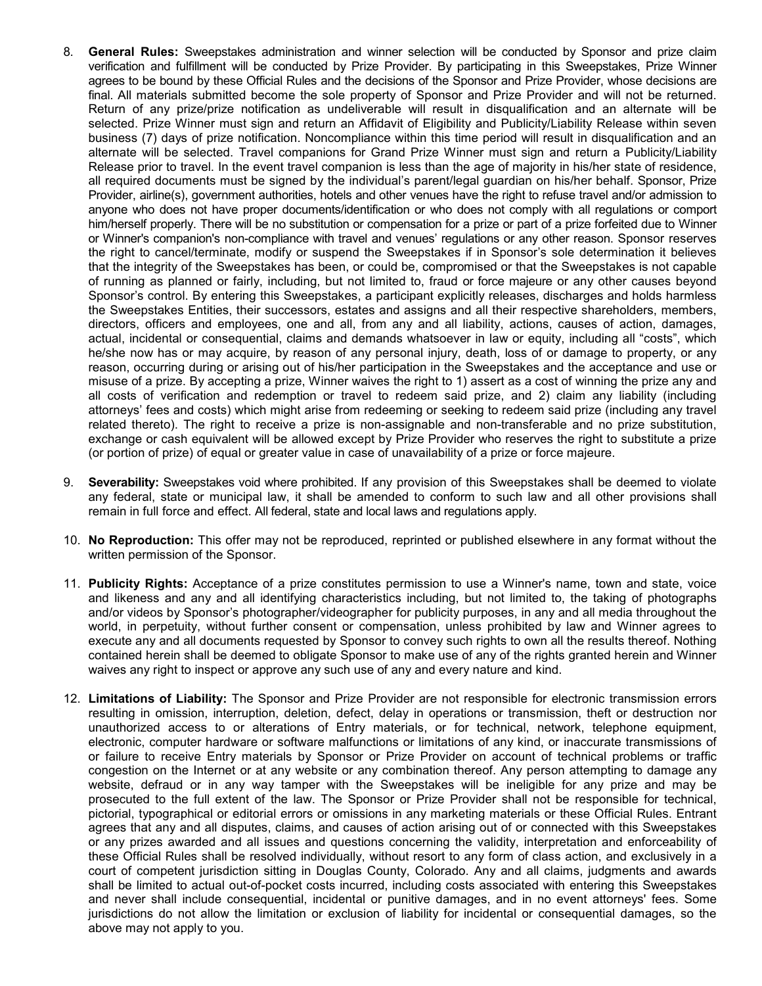- 8. **General Rules:** Sweepstakes administration and winner selection will be conducted by Sponsor and prize claim verification and fulfillment will be conducted by Prize Provider. By participating in this Sweepstakes, Prize Winner agrees to be bound by these Official Rules and the decisions of the Sponsor and Prize Provider, whose decisions are final. All materials submitted become the sole property of Sponsor and Prize Provider and will not be returned. Return of any prize/prize notification as undeliverable will result in disqualification and an alternate will be selected. Prize Winner must sign and return an Affidavit of Eligibility and Publicity/Liability Release within seven business (7) days of prize notification. Noncompliance within this time period will result in disqualification and an alternate will be selected. Travel companions for Grand Prize Winner must sign and return a Publicity/Liability Release prior to travel. In the event travel companion is less than the age of majority in his/her state of residence, all required documents must be signed by the individual's parent/legal guardian on his/her behalf. Sponsor, Prize Provider, airline(s), government authorities, hotels and other venues have the right to refuse travel and/or admission to anyone who does not have proper documents/identification or who does not comply with all regulations or comport him/herself properly. There will be no substitution or compensation for a prize or part of a prize forfeited due to Winner or Winner's companion's non-compliance with travel and venues' regulations or any other reason. Sponsor reserves the right to cancel/terminate, modify or suspend the Sweepstakes if in Sponsor's sole determination it believes that the integrity of the Sweepstakes has been, or could be, compromised or that the Sweepstakes is not capable of running as planned or fairly, including, but not limited to, fraud or force majeure or any other causes beyond Sponsor's control. By entering this Sweepstakes, a participant explicitly releases, discharges and holds harmless the Sweepstakes Entities, their successors, estates and assigns and all their respective shareholders, members, directors, officers and employees, one and all, from any and all liability, actions, causes of action, damages, actual, incidental or consequential, claims and demands whatsoever in law or equity, including all "costs", which he/she now has or may acquire, by reason of any personal injury, death, loss of or damage to property, or any reason, occurring during or arising out of his/her participation in the Sweepstakes and the acceptance and use or misuse of a prize. By accepting a prize, Winner waives the right to 1) assert as a cost of winning the prize any and all costs of verification and redemption or travel to redeem said prize, and 2) claim any liability (including attorneys' fees and costs) which might arise from redeeming or seeking to redeem said prize (including any travel related thereto). The right to receive a prize is non-assignable and non-transferable and no prize substitution, exchange or cash equivalent will be allowed except by Prize Provider who reserves the right to substitute a prize (or portion of prize) of equal or greater value in case of unavailability of a prize or force majeure.
- 9. **Severability:** Sweepstakes void where prohibited. If any provision of this Sweepstakes shall be deemed to violate any federal, state or municipal law, it shall be amended to conform to such law and all other provisions shall remain in full force and effect. All federal, state and local laws and regulations apply.
- 10. **No Reproduction:** This offer may not be reproduced, reprinted or published elsewhere in any format without the written permission of the Sponsor.
- 11. **Publicity Rights:** Acceptance of a prize constitutes permission to use a Winner's name, town and state, voice and likeness and any and all identifying characteristics including, but not limited to, the taking of photographs and/or videos by Sponsor's photographer/videographer for publicity purposes, in any and all media throughout the world, in perpetuity, without further consent or compensation, unless prohibited by law and Winner agrees to execute any and all documents requested by Sponsor to convey such rights to own all the results thereof. Nothing contained herein shall be deemed to obligate Sponsor to make use of any of the rights granted herein and Winner waives any right to inspect or approve any such use of any and every nature and kind.
- 12. **Limitations of Liability:** The Sponsor and Prize Provider are not responsible for electronic transmission errors resulting in omission, interruption, deletion, defect, delay in operations or transmission, theft or destruction nor unauthorized access to or alterations of Entry materials, or for technical, network, telephone equipment, electronic, computer hardware or software malfunctions or limitations of any kind, or inaccurate transmissions of or failure to receive Entry materials by Sponsor or Prize Provider on account of technical problems or traffic congestion on the Internet or at any website or any combination thereof. Any person attempting to damage any website, defraud or in any way tamper with the Sweepstakes will be ineligible for any prize and may be prosecuted to the full extent of the law. The Sponsor or Prize Provider shall not be responsible for technical, pictorial, typographical or editorial errors or omissions in any marketing materials or these Official Rules. Entrant agrees that any and all disputes, claims, and causes of action arising out of or connected with this Sweepstakes or any prizes awarded and all issues and questions concerning the validity, interpretation and enforceability of these Official Rules shall be resolved individually, without resort to any form of class action, and exclusively in a court of competent jurisdiction sitting in Douglas County, Colorado. Any and all claims, judgments and awards shall be limited to actual out-of-pocket costs incurred, including costs associated with entering this Sweepstakes and never shall include consequential, incidental or punitive damages, and in no event attorneys' fees. Some jurisdictions do not allow the limitation or exclusion of liability for incidental or consequential damages, so the above may not apply to you.